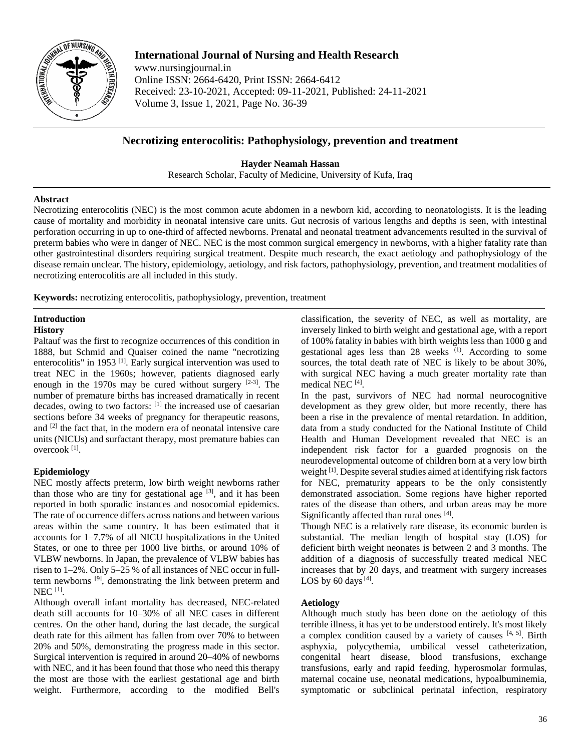

# **International Journal of Nursing and Health Research**

www.nursingjournal.in Online ISSN: 2664-6420, Print ISSN: 2664-6412 Received: 23-10-2021, Accepted: 09-11-2021, Published: 24-11-2021 Volume 3, Issue 1, 2021, Page No. 36-39

# **Necrotizing enterocolitis: Pathophysiology, prevention and treatment**

**Hayder Neamah Hassan** Research Scholar, Faculty of Medicine, University of Kufa, Iraq

### **Abstract**

Necrotizing enterocolitis (NEC) is the most common acute abdomen in a newborn kid, according to neonatologists. It is the leading cause of mortality and morbidity in neonatal intensive care units. Gut necrosis of various lengths and depths is seen, with intestinal perforation occurring in up to one-third of affected newborns. Prenatal and neonatal treatment advancements resulted in the survival of preterm babies who were in danger of NEC. NEC is the most common surgical emergency in newborns, with a higher fatality rate than other gastrointestinal disorders requiring surgical treatment. Despite much research, the exact aetiology and pathophysiology of the disease remain unclear. The history, epidemiology, aetiology, and risk factors, pathophysiology, prevention, and treatment modalities of necrotizing enterocolitis are all included in this study.

**Keywords:** necrotizing enterocolitis, pathophysiology, prevention, treatment

# **Introduction**

### **History**

Paltauf was the first to recognize occurrences of this condition in 1888, but Schmid and Quaiser coined the name "necrotizing enterocolitis" in 1953<sup>[1]</sup>. Early surgical intervention was used to treat NEC in the 1960s; however, patients diagnosed early enough in the 1970s may be cured without surgery  $[2-3]$ . The number of premature births has increased dramatically in recent decades, owing to two factors: [1] the increased use of caesarian sections before 34 weeks of pregnancy for therapeutic reasons, and  $[2]$  the fact that, in the modern era of neonatal intensive care units (NICUs) and surfactant therapy, most premature babies can overcook [1] .

## **Epidemiology**

NEC mostly affects preterm, low birth weight newborns rather than those who are tiny for gestational age  $[3]$ , and it has been reported in both sporadic instances and nosocomial epidemics. The rate of occurrence differs across nations and between various areas within the same country. It has been estimated that it accounts for 1–7.7% of all NICU hospitalizations in the United States, or one to three per 1000 live births, or around 10% of VLBW newborns. In Japan, the prevalence of VLBW babies has risen to 1–2%. Only 5–25 % of all instances of NEC occur in fullterm newborns [9], demonstrating the link between preterm and NEC [1] .

Although overall infant mortality has decreased, NEC-related death still accounts for 10–30% of all NEC cases in different centres. On the other hand, during the last decade, the surgical death rate for this ailment has fallen from over 70% to between 20% and 50%, demonstrating the progress made in this sector. Surgical intervention is required in around 20–40% of newborns with NEC, and it has been found that those who need this therapy the most are those with the earliest gestational age and birth weight. Furthermore, according to the modified Bell's classification, the severity of NEC, as well as mortality, are inversely linked to birth weight and gestational age, with a report of 100% fatality in babies with birth weights less than 1000 g and gestational ages less than  $28$  weeks  $(1)$ . According to some sources, the total death rate of NEC is likely to be about 30%, with surgical NEC having a much greater mortality rate than medical NEC<sup>[4]</sup>.

In the past, survivors of NEC had normal neurocognitive development as they grew older, but more recently, there has been a rise in the prevalence of mental retardation. In addition, data from a study conducted for the National Institute of Child Health and Human Development revealed that NEC is an independent risk factor for a guarded prognosis on the neurodevelopmental outcome of children born at a very low birth weight <sup>[1]</sup>. Despite several studies aimed at identifying risk factors for NEC, prematurity appears to be the only consistently demonstrated association. Some regions have higher reported rates of the disease than others, and urban areas may be more Significantly affected than rural ones [4].

Though NEC is a relatively rare disease, its economic burden is substantial. The median length of hospital stay (LOS) for deficient birth weight neonates is between 2 and 3 months. The addition of a diagnosis of successfully treated medical NEC increases that by 20 days, and treatment with surgery increases LOS by  $60$  days  $^{[4]}$ .

## **Aetiology**

Although much study has been done on the aetiology of this terrible illness, it has yet to be understood entirely. It's most likely a complex condition caused by a variety of causes  $[4, 5]$ . Birth asphyxia, polycythemia, umbilical vessel catheterization, congenital heart disease, blood transfusions, exchange transfusions, early and rapid feeding, hyperosmolar formulas, maternal cocaine use, neonatal medications, hypoalbuminemia, symptomatic or subclinical perinatal infection, respiratory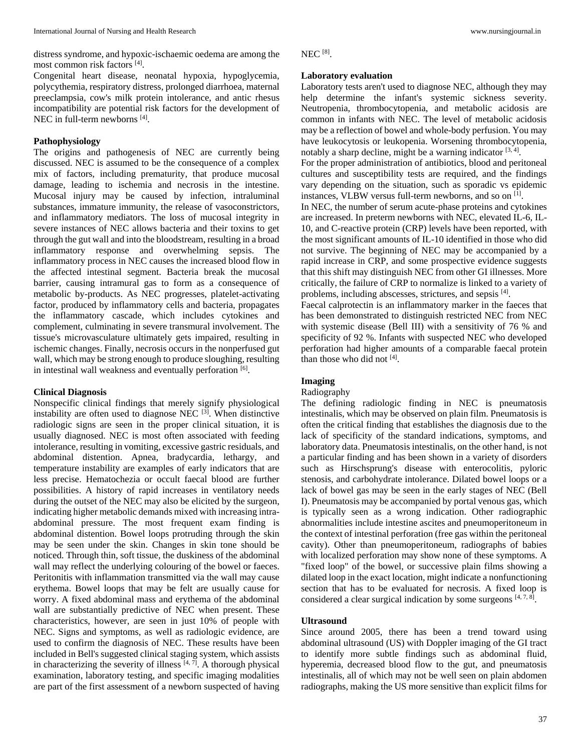distress syndrome, and hypoxic-ischaemic oedema are among the most common risk factors [4] .

Congenital heart disease, neonatal hypoxia, hypoglycemia, polycythemia, respiratory distress, prolonged diarrhoea, maternal preeclampsia, cow's milk protein intolerance, and antic rhesus incompatibility are potential risk factors for the development of NEC in full-term newborns [4].

## **Pathophysiology**

The origins and pathogenesis of NEC are currently being discussed. NEC is assumed to be the consequence of a complex mix of factors, including prematurity, that produce mucosal damage, leading to ischemia and necrosis in the intestine. Mucosal injury may be caused by infection, intraluminal substances, immature immunity, the release of vasoconstrictors, and inflammatory mediators. The loss of mucosal integrity in severe instances of NEC allows bacteria and their toxins to get through the gut wall and into the bloodstream, resulting in a broad inflammatory response and overwhelming sepsis. The inflammatory process in NEC causes the increased blood flow in the affected intestinal segment. Bacteria break the mucosal barrier, causing intramural gas to form as a consequence of metabolic by-products. As NEC progresses, platelet-activating factor, produced by inflammatory cells and bacteria, propagates the inflammatory cascade, which includes cytokines and complement, culminating in severe transmural involvement. The tissue's microvasculature ultimately gets impaired, resulting in ischemic changes. Finally, necrosis occurs in the nonperfused gut wall, which may be strong enough to produce sloughing, resulting in intestinal wall weakness and eventually perforation [6].

### **Clinical Diagnosis**

Nonspecific clinical findings that merely signify physiological instability are often used to diagnose NEC  $^{[3]}$ . When distinctive radiologic signs are seen in the proper clinical situation, it is usually diagnosed. NEC is most often associated with feeding intolerance, resulting in vomiting, excessive gastric residuals, and abdominal distention. Apnea, bradycardia, lethargy, and temperature instability are examples of early indicators that are less precise. Hematochezia or occult faecal blood are further possibilities. A history of rapid increases in ventilatory needs during the outset of the NEC may also be elicited by the surgeon, indicating higher metabolic demands mixed with increasing intraabdominal pressure. The most frequent exam finding is abdominal distention. Bowel loops protruding through the skin may be seen under the skin. Changes in skin tone should be noticed. Through thin, soft tissue, the duskiness of the abdominal wall may reflect the underlying colouring of the bowel or faeces. Peritonitis with inflammation transmitted via the wall may cause erythema. Bowel loops that may be felt are usually cause for worry. A fixed abdominal mass and erythema of the abdominal wall are substantially predictive of NEC when present. These characteristics, however, are seen in just 10% of people with NEC. Signs and symptoms, as well as radiologic evidence, are used to confirm the diagnosis of NEC. These results have been included in Bell's suggested clinical staging system, which assists in characterizing the severity of illness  $[4, 7]$ . A thorough physical examination, laboratory testing, and specific imaging modalities are part of the first assessment of a newborn suspected of having

NEC [8] .

### **Laboratory evaluation**

Laboratory tests aren't used to diagnose NEC, although they may help determine the infant's systemic sickness severity. Neutropenia, thrombocytopenia, and metabolic acidosis are common in infants with NEC. The level of metabolic acidosis may be a reflection of bowel and whole-body perfusion. You may have leukocytosis or leukopenia. Worsening thrombocytopenia, notably a sharp decline, might be a warning indicator  $[3, 4]$ .

For the proper administration of antibiotics, blood and peritoneal cultures and susceptibility tests are required, and the findings vary depending on the situation, such as sporadic vs epidemic instances, VLBW versus full-term newborns, and so on [1].

In NEC, the number of serum acute-phase proteins and cytokines are increased. In preterm newborns with NEC, elevated IL-6, IL-10, and C-reactive protein (CRP) levels have been reported, with the most significant amounts of IL-10 identified in those who did not survive. The beginning of NEC may be accompanied by a rapid increase in CRP, and some prospective evidence suggests that this shift may distinguish NEC from other GI illnesses. More critically, the failure of CRP to normalize is linked to a variety of problems, including abscesses, strictures, and sepsis [4].

Faecal calprotectin is an inflammatory marker in the faeces that has been demonstrated to distinguish restricted NEC from NEC with systemic disease (Bell III) with a sensitivity of 76 % and specificity of 92 %. Infants with suspected NEC who developed perforation had higher amounts of a comparable faecal protein than those who did not [4].

# **Imaging**

### Radiography

The defining radiologic finding in NEC is pneumatosis intestinalis, which may be observed on plain film. Pneumatosis is often the critical finding that establishes the diagnosis due to the lack of specificity of the standard indications, symptoms, and laboratory data. Pneumatosis intestinalis, on the other hand, is not a particular finding and has been shown in a variety of disorders such as Hirschsprung's disease with enterocolitis, pyloric stenosis, and carbohydrate intolerance. Dilated bowel loops or a lack of bowel gas may be seen in the early stages of NEC (Bell I). Pneumatosis may be accompanied by portal venous gas, which is typically seen as a wrong indication. Other radiographic abnormalities include intestine ascites and pneumoperitoneum in the context of intestinal perforation (free gas within the peritoneal cavity). Other than pneumoperitoneum, radiographs of babies with localized perforation may show none of these symptoms. A "fixed loop" of the bowel, or successive plain films showing a dilated loop in the exact location, might indicate a nonfunctioning section that has to be evaluated for necrosis. A fixed loop is considered a clear surgical indication by some surgeons  $[4, 7, 8]$ .

# **Ultrasound**

Since around 2005, there has been a trend toward using abdominal ultrasound (US) with Doppler imaging of the GI tract to identify more subtle findings such as abdominal fluid, hyperemia, decreased blood flow to the gut, and pneumatosis intestinalis, all of which may not be well seen on plain abdomen radiographs, making the US more sensitive than explicit films for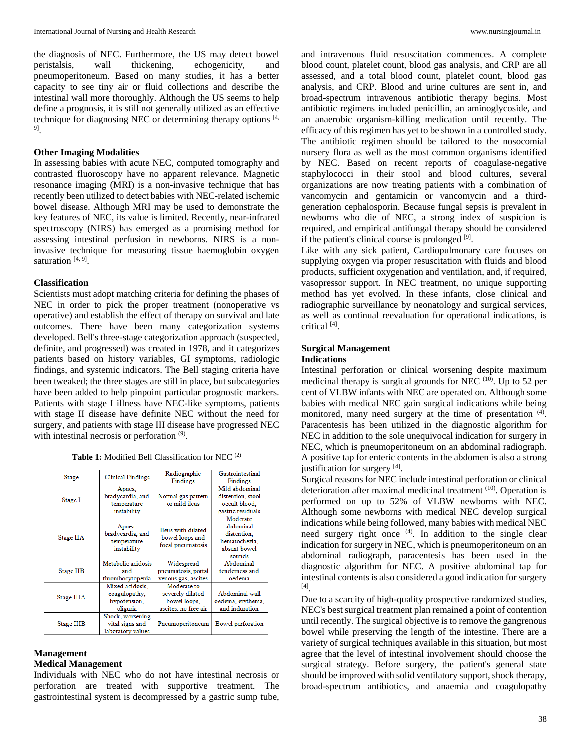the diagnosis of NEC. Furthermore, the US may detect bowel peristalsis, wall thickening, echogenicity, and pneumoperitoneum. Based on many studies, it has a better capacity to see tiny air or fluid collections and describe the intestinal wall more thoroughly. Although the US seems to help define a prognosis, it is still not generally utilized as an effective technique for diagnosing NEC or determining therapy options [4, 9] .

#### **Other Imaging Modalities**

In assessing babies with acute NEC, computed tomography and contrasted fluoroscopy have no apparent relevance. Magnetic resonance imaging (MRI) is a non-invasive technique that has recently been utilized to detect babies with NEC-related ischemic bowel disease. Although MRI may be used to demonstrate the key features of NEC, its value is limited. Recently, near-infrared spectroscopy (NIRS) has emerged as a promising method for assessing intestinal perfusion in newborns. NIRS is a noninvasive technique for measuring tissue haemoglobin oxygen saturation<sup>[4,9]</sup>.

#### **Classification**

Scientists must adopt matching criteria for defining the phases of NEC in order to pick the proper treatment (nonoperative vs operative) and establish the effect of therapy on survival and late outcomes. There have been many categorization systems developed. Bell's three-stage categorization approach (suspected, definite, and progressed) was created in 1978, and it categorizes patients based on history variables, GI symptoms, radiologic findings, and systemic indicators. The Bell staging criteria have been tweaked; the three stages are still in place, but subcategories have been added to help pinpoint particular prognostic markers. Patients with stage I illness have NEC-like symptoms, patients with stage II disease have definite NEC without the need for surgery, and patients with stage III disease have progressed NEC with intestinal necrosis or perforation<sup>(9)</sup>.

| <b>Table 1:</b> Modified Bell Classification for NEC <sup>(2)</sup> |  |  |
|---------------------------------------------------------------------|--|--|
|---------------------------------------------------------------------|--|--|

| <b>Stage</b> | <b>Clinical Findings</b>                                     | Radiographic<br>Findings                                                | Gastrointestinal<br>Findings                                                    |
|--------------|--------------------------------------------------------------|-------------------------------------------------------------------------|---------------------------------------------------------------------------------|
| Stage I      | Apnea,<br>bradycardia, and<br>temperature<br>instability     | Normal gas pattern<br>or mild ileus                                     | Mild abdominal<br>distention, stool<br>occult blood.<br>gastric residuals       |
| Stage IIA    | Apnea,<br>bradycardia, and<br>temperature<br>instability     | Ileus with dilated<br>bowel loops and<br>focal pneumatosis              | Moderate<br>abdominal<br>distention.<br>hematochezia.<br>absent bowel<br>sounds |
| Stage IIB    | Metabolic acidosis<br>and<br>thrombocytopenia                | Widespread<br>pneumatosis, portal<br>venous gas, ascites                | Abdominal<br>tendemess and<br>oedema                                            |
| Stage IIIA   | Mixed acidosis.<br>coagulopathy,<br>hypotension,<br>oliguria | Moderate to<br>severely dilated<br>bowel loops.<br>ascites, no free air | Abdominal wall<br>oedema, erythema,<br>and induration                           |
| Stage IIIB   | Shock, worsening<br>vital signs and<br>laboratory values     | Pneumoperitoneum                                                        | Bowel perforation                                                               |

# **Management Medical Management**

Individuals with NEC who do not have intestinal necrosis or perforation are treated with supportive treatment. The gastrointestinal system is decompressed by a gastric sump tube,

and intravenous fluid resuscitation commences. A complete blood count, platelet count, blood gas analysis, and CRP are all assessed, and a total blood count, platelet count, blood gas analysis, and CRP. Blood and urine cultures are sent in, and broad-spectrum intravenous antibiotic therapy begins. Most antibiotic regimens included penicillin, an aminoglycoside, and an anaerobic organism-killing medication until recently. The efficacy of this regimen has yet to be shown in a controlled study. The antibiotic regimen should be tailored to the nosocomial nursery flora as well as the most common organisms identified by NEC. Based on recent reports of coagulase-negative staphylococci in their stool and blood cultures, several organizations are now treating patients with a combination of vancomycin and gentamicin or vancomycin and a thirdgeneration cephalosporin. Because fungal sepsis is prevalent in newborns who die of NEC, a strong index of suspicion is required, and empirical antifungal therapy should be considered if the patient's clinical course is prolonged [9].

Like with any sick patient, Cardiopulmonary care focuses on supplying oxygen via proper resuscitation with fluids and blood products, sufficient oxygenation and ventilation, and, if required, vasopressor support. In NEC treatment, no unique supporting method has yet evolved. In these infants, close clinical and radiographic surveillance by neonatology and surgical services, as well as continual reevaluation for operational indications, is critical [4] .

#### **Surgical Management**

### **Indications**

Intestinal perforation or clinical worsening despite maximum medicinal therapy is surgical grounds for NEC  $(10)$ . Up to 52 per cent of VLBW infants with NEC are operated on. Although some babies with medical NEC gain surgical indications while being monitored, many need surgery at the time of presentation <sup>(4)</sup>. Paracentesis has been utilized in the diagnostic algorithm for NEC in addition to the sole unequivocal indication for surgery in NEC, which is pneumoperitoneum on an abdominal radiograph. A positive tap for enteric contents in the abdomen is also a strong justification for surgery [4].

Surgical reasons for NEC include intestinal perforation or clinical deterioration after maximal medicinal treatment <sup>(10)</sup>. Operation is performed on up to 52% of VLBW newborns with NEC. Although some newborns with medical NEC develop surgical indications while being followed, many babies with medical NEC need surgery right once <sup>(4)</sup>. In addition to the single clear indication for surgery in NEC, which is pneumoperitoneum on an abdominal radiograph, paracentesis has been used in the diagnostic algorithm for NEC. A positive abdominal tap for intestinal contents is also considered a good indication for surgery [4] .

Due to a scarcity of high-quality prospective randomized studies, NEC's best surgical treatment plan remained a point of contention until recently. The surgical objective is to remove the gangrenous bowel while preserving the length of the intestine. There are a variety of surgical techniques available in this situation, but most agree that the level of intestinal involvement should choose the surgical strategy. Before surgery, the patient's general state should be improved with solid ventilatory support, shock therapy, broad-spectrum antibiotics, and anaemia and coagulopathy